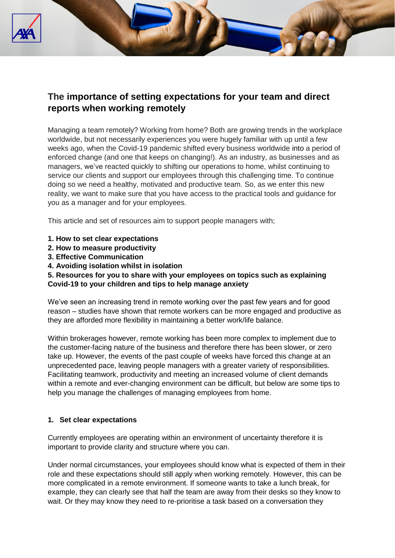

# **The importance of setting expectations for your team and direct reports when working remotely**

Managing a team remotely? Working from home? Both are growing trends in the workplace worldwide, but not necessarily experiences you were hugely familiar with up until a few weeks ago, when the Covid-19 pandemic shifted every business worldwide into a period of enforced change (and one that keeps on changing!). As an industry, as businesses and as managers, we've reacted quickly to shifting our operations to home, whilst continuing to service our clients and support our employees through this challenging time. To continue doing so we need a healthy, motivated and productive team. So, as we enter this new reality, we want to make sure that you have access to the practical tools and guidance for you as a manager and for your employees.

This article and set of resources aim to support people managers with;

- **1. How to set clear expectations**
- **2. How to measure productivity**
- **3. Effective Communication**
- **4. Avoiding isolation whilst in isolation**

# **5. Resources for you to share with your employees on topics such as explaining Covid-19 to your children and tips to help manage anxiety**

We've seen an increasing trend in remote working over the past few years and for good reason – studies have shown that remote workers can be more engaged and productive as they are afforded more flexibility in maintaining a better work/life balance.

Within brokerages however, remote working has been more complex to implement due to the customer-facing nature of the business and therefore there has been slower, or zero take up. However, the events of the past couple of weeks have forced this change at an unprecedented pace, leaving people managers with a greater variety of responsibilities. Facilitating teamwork, productivity and meeting an increased volume of client demands within a remote and ever-changing environment can be difficult, but below are some tips to help you manage the challenges of managing employees from home.

# **1. Set clear expectations**

Currently employees are operating within an environment of uncertainty therefore it is important to provide clarity and structure where you can.

Under normal circumstances, your employees should know what is expected of them in their role and these expectations should still apply when working remotely. However, this can be more complicated in a remote environment. If someone wants to take a lunch break, for example, they can clearly see that half the team are away from their desks so they know to wait. Or they may know they need to re-prioritise a task based on a conversation they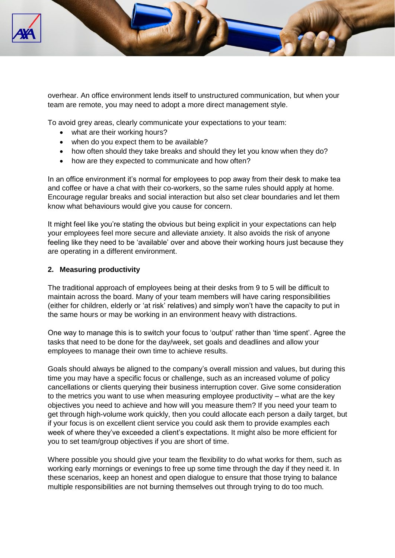

overhear. An office environment lends itself to unstructured communication, but when your team are remote, you may need to adopt a more direct management style.

To avoid grey areas, clearly communicate your expectations to your team:

- what are their working hours?
- when do you expect them to be available?
- how often should they take breaks and should they let you know when they do?
- how are they expected to communicate and how often?

In an office environment it's normal for employees to pop away from their desk to make tea and coffee or have a chat with their co-workers, so the same rules should apply at home. Encourage regular breaks and social interaction but also set clear boundaries and let them know what behaviours would give you cause for concern.

It might feel like you're stating the obvious but being explicit in your expectations can help your employees feel more secure and alleviate anxiety. It also avoids the risk of anyone feeling like they need to be 'available' over and above their working hours just because they are operating in a different environment.

#### **2. Measuring productivity**

The traditional approach of employees being at their desks from 9 to 5 will be difficult to maintain across the board. Many of your team members will have caring responsibilities (either for children, elderly or 'at risk' relatives) and simply won't have the capacity to put in the same hours or may be working in an environment heavy with distractions.

One way to manage this is to switch your focus to 'output' rather than 'time spent'. Agree the tasks that need to be done for the day/week, set goals and deadlines and allow your employees to manage their own time to achieve results.

Goals should always be aligned to the company's overall mission and values, but during this time you may have a specific focus or challenge, such as an increased volume of policy cancellations or clients querying their business interruption cover. Give some consideration to the metrics you want to use when measuring employee productivity – what are the key objectives you need to achieve and how will you measure them? If you need your team to get through high-volume work quickly, then you could allocate each person a daily target, but if your focus is on excellent client service you could ask them to provide examples each week of where they've exceeded a client's expectations. It might also be more efficient for you to set team/group objectives if you are short of time.

Where possible you should give your team the flexibility to do what works for them, such as working early mornings or evenings to free up some time through the day if they need it. In these scenarios, keep an honest and open dialogue to ensure that those trying to balance multiple responsibilities are not burning themselves out through trying to do too much.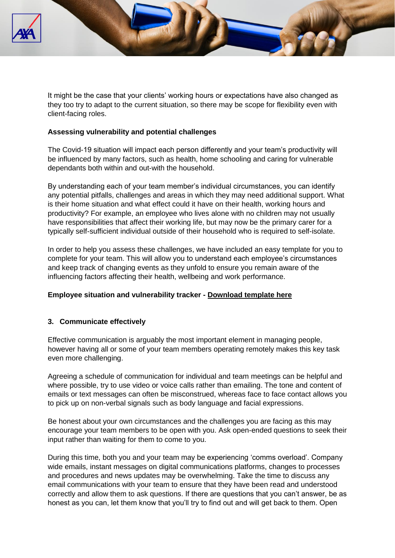

It might be the case that your clients' working hours or expectations have also changed as they too try to adapt to the current situation, so there may be scope for flexibility even with client-facing roles.

### **Assessing vulnerability and potential challenges**

The Covid-19 situation will impact each person differently and your team's productivity will be influenced by many factors, such as health, home schooling and caring for vulnerable dependants both within and out-with the household.

By understanding each of your team member's individual circumstances, you can identify any potential pitfalls, challenges and areas in which they may need additional support. What is their home situation and what effect could it have on their health, working hours and productivity? For example, an employee who lives alone with no children may not usually have responsibilities that affect their working life, but may now be the primary carer for a typically self-sufficient individual outside of their household who is required to self-isolate.

In order to help you assess these challenges, we have included an easy template for you to complete for your team. This will allow you to understand each employee's circumstances and keep track of changing events as they unfold to ensure you remain aware of the influencing factors affecting their health, wellbeing and work performance.

# **Employee situation and vulnerability tracker - [Download template here](https://www2.axa-insurance.co.uk/l/471271/2020-04-15/3kd6f6/471271/116747/Covid_19_Employee_situation_and_vulnerability_template.docx)**

#### **3. Communicate effectively**

Effective communication is arguably the most important element in managing people, however having all or some of your team members operating remotely makes this key task even more challenging.

Agreeing a schedule of communication for individual and team meetings can be helpful and where possible, try to use video or voice calls rather than emailing. The tone and content of emails or text messages can often be misconstrued, whereas face to face contact allows you to pick up on non-verbal signals such as body language and facial expressions.

Be honest about your own circumstances and the challenges you are facing as this may encourage your team members to be open with you. Ask open-ended questions to seek their input rather than waiting for them to come to you.

During this time, both you and your team may be experiencing 'comms overload'. Company wide emails, instant messages on digital communications platforms, changes to processes and procedures and news updates may be overwhelming. Take the time to discuss any email communications with your team to ensure that they have been read and understood correctly and allow them to ask questions. If there are questions that you can't answer, be as honest as you can, let them know that you'll try to find out and will get back to them. Open